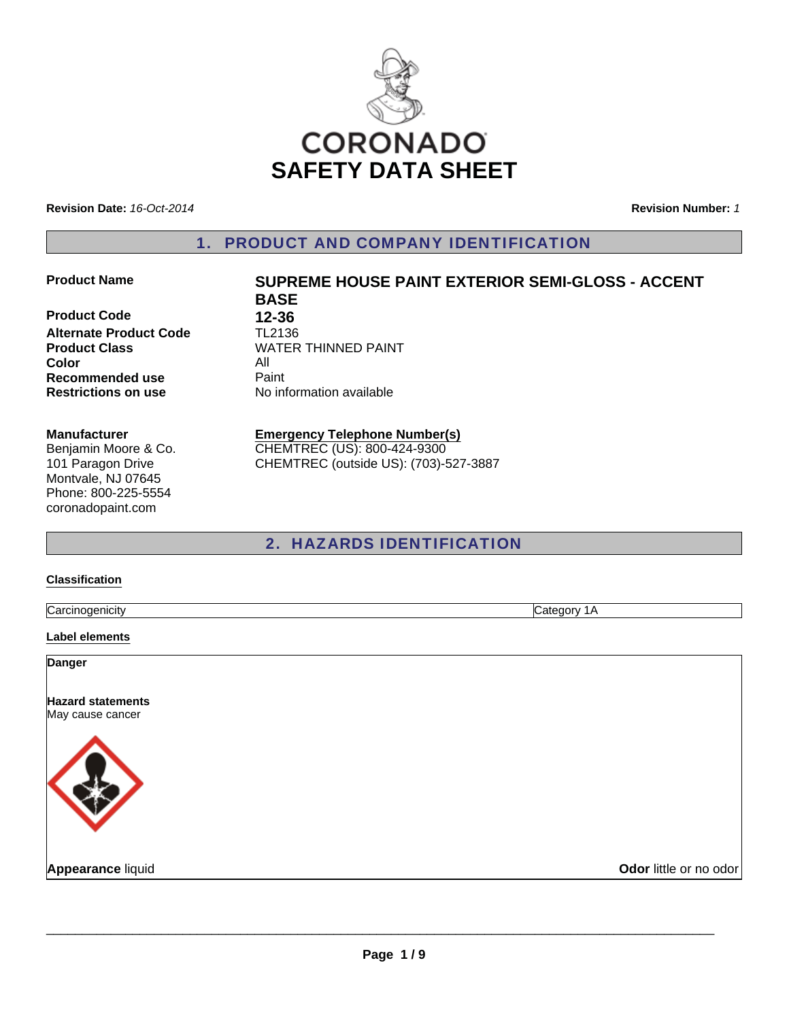

**Revision Date:** *16-Oct-2014*

**Revision Number:** *1*

1. PRODUCT AND COMPANY IDENTIFICATION

### **Product Name SUPREME HOUSE PAINT EXTERIOR SEMI-GLOSS - ACCENT**

**Product Code 12-36**<br>**Alternate Product Code 12136 Alternate Product Code**<br>Product Class **Color Recommended use Faint Restrictions on use** No information available

#### **Manufacturer**

Benjamin Moore & Co. 101 Paragon Drive Montvale, NJ 07645 Phone: 800-225-5554 coronadopaint.com

**WATER THINNED PAINT**<br>All

**BASE**

**Emergency Telephone Number(s)** CHEMTREC (US): 800-424-9300 CHEMTREC (outside US): (703)-527-3887

2. HAZARDS IDENTIFICATION

#### **Classification**

**Carcinogenicity** Category 1A

#### **Label elements**

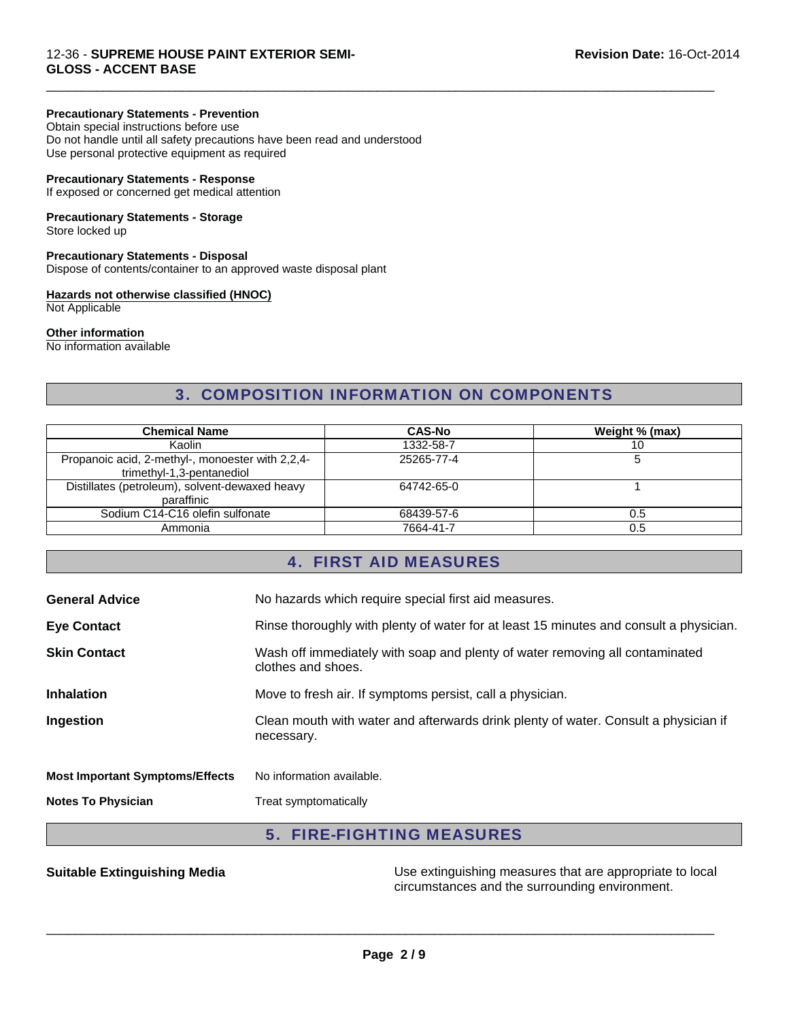### **Precautionary Statements - Prevention**

Obtain special instructions before use Do not handle until all safety precautions have been read and understood Use personal protective equipment as required

#### **Precautionary Statements - Response**

If exposed or concerned get medical attention

# **Precautionary Statements - Storage**

Store locked up

#### **Precautionary Statements - Disposal**

Dispose of contents/container to an approved waste disposal plant

#### **Hazards not otherwise classified (HNOC)**

Not Applicable

#### **Other information**

No information available

# 3. COMPOSITION INFORMATION ON COMPONENTS

 $\Box$ 

| <b>Chemical Name</b>                                                          | <b>CAS-No</b> | Weight % (max) |
|-------------------------------------------------------------------------------|---------------|----------------|
| Kaolin                                                                        | 1332-58-7     | 10             |
| Propanoic acid, 2-methyl-, monoester with 2,2,4-<br>trimethyl-1,3-pentanediol | 25265-77-4    |                |
| Distillates (petroleum), solvent-dewaxed heavy<br>paraffinic                  | 64742-65-0    |                |
| Sodium C14-C16 olefin sulfonate                                               | 68439-57-6    | 0.5            |
| Ammonia                                                                       | 7664-41-7     | 0.5            |

# 4. FIRST AID MEASURES

| <b>General Advice</b>                  | No hazards which require special first aid measures.                                               |
|----------------------------------------|----------------------------------------------------------------------------------------------------|
| <b>Eye Contact</b>                     | Rinse thoroughly with plenty of water for at least 15 minutes and consult a physician.             |
| <b>Skin Contact</b>                    | Wash off immediately with soap and plenty of water removing all contaminated<br>clothes and shoes. |
| <b>Inhalation</b>                      | Move to fresh air. If symptoms persist, call a physician.                                          |
| Ingestion                              | Clean mouth with water and afterwards drink plenty of water. Consult a physician if<br>necessary.  |
| <b>Most Important Symptoms/Effects</b> | No information available.                                                                          |
| <b>Notes To Physician</b>              | Treat symptomatically                                                                              |

# 5. FIRE-FIGHTING MEASURES

**Suitable Extinguishing Media** Media Use extinguishing measures that are appropriate to local circumstances and the surrounding environment.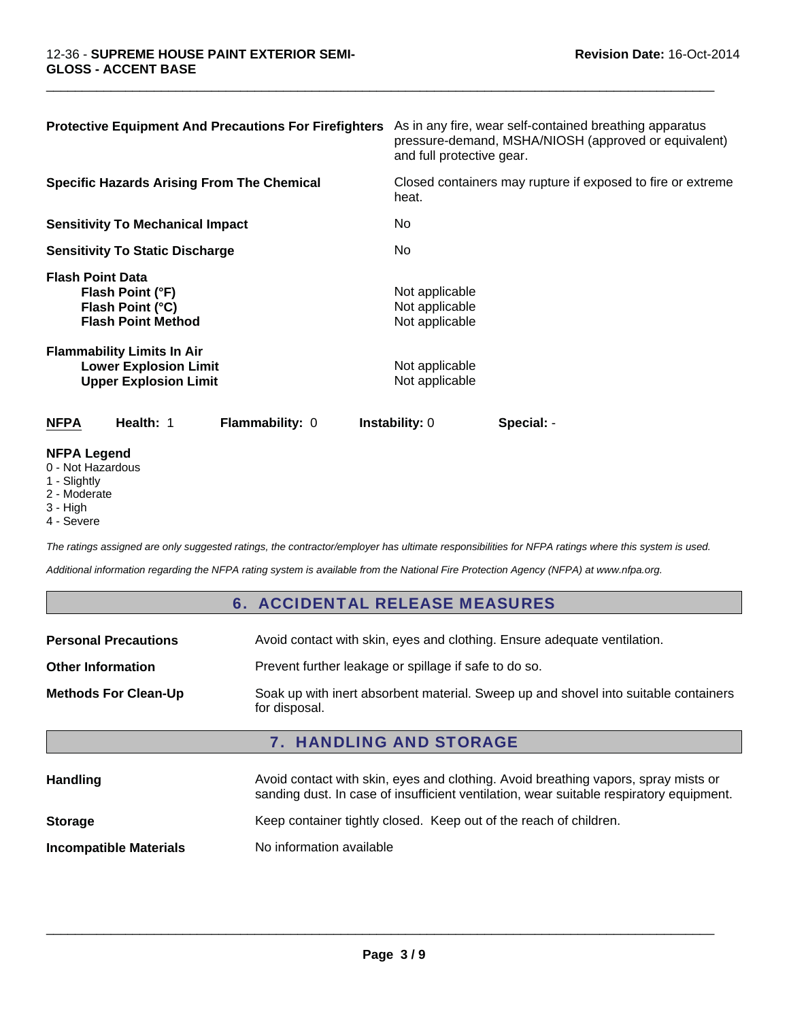| <b>Protective Equipment And Precautions For Firefighters</b>                                      | As in any fire, wear self-contained breathing apparatus<br>pressure-demand, MSHA/NIOSH (approved or equivalent)<br>and full protective gear. |
|---------------------------------------------------------------------------------------------------|----------------------------------------------------------------------------------------------------------------------------------------------|
| <b>Specific Hazards Arising From The Chemical</b>                                                 | Closed containers may rupture if exposed to fire or extreme<br>heat.                                                                         |
| <b>Sensitivity To Mechanical Impact</b>                                                           | No.                                                                                                                                          |
| <b>Sensitivity To Static Discharge</b>                                                            | No.                                                                                                                                          |
| <b>Flash Point Data</b><br>Flash Point (°F)<br>Flash Point (°C)<br><b>Flash Point Method</b>      | Not applicable<br>Not applicable<br>Not applicable                                                                                           |
| <b>Flammability Limits In Air</b><br><b>Lower Explosion Limit</b><br><b>Upper Explosion Limit</b> | Not applicable<br>Not applicable                                                                                                             |
| Health: 1<br><b>NFPA</b><br><b>Flammability: 0</b>                                                | <b>Instability: 0</b><br>Special: -                                                                                                          |
| <b>NIFRA LAMAMA</b>                                                                               |                                                                                                                                              |

 $\Box$ 

#### **NFPA Legend**

0 - Not Hazardous

- 1 Slightly
- 2 Moderate
- 3 High
- 4 Severe

*The ratings assigned are only suggested ratings, the contractor/employer has ultimate responsibilities for NFPA ratings where this system is used.*

*Additional information regarding the NFPA rating system is available from the National Fire Protection Agency (NFPA) at www.nfpa.org.*

# 6. ACCIDENTAL RELEASE MEASURES

| <b>Methods For Clean-Up</b> | Soak up with inert absorbent material. Sweep up and shovel into suitable containers<br>for disposal. |
|-----------------------------|------------------------------------------------------------------------------------------------------|
|                             |                                                                                                      |

| <b>Handling</b>               | Avoid contact with skin, eyes and clothing. Avoid breathing vapors, spray mists or<br>sanding dust. In case of insufficient ventilation, wear suitable respiratory equipment. |  |
|-------------------------------|-------------------------------------------------------------------------------------------------------------------------------------------------------------------------------|--|
| <b>Storage</b>                | Keep container tightly closed. Keep out of the reach of children.                                                                                                             |  |
| <b>Incompatible Materials</b> | No information available                                                                                                                                                      |  |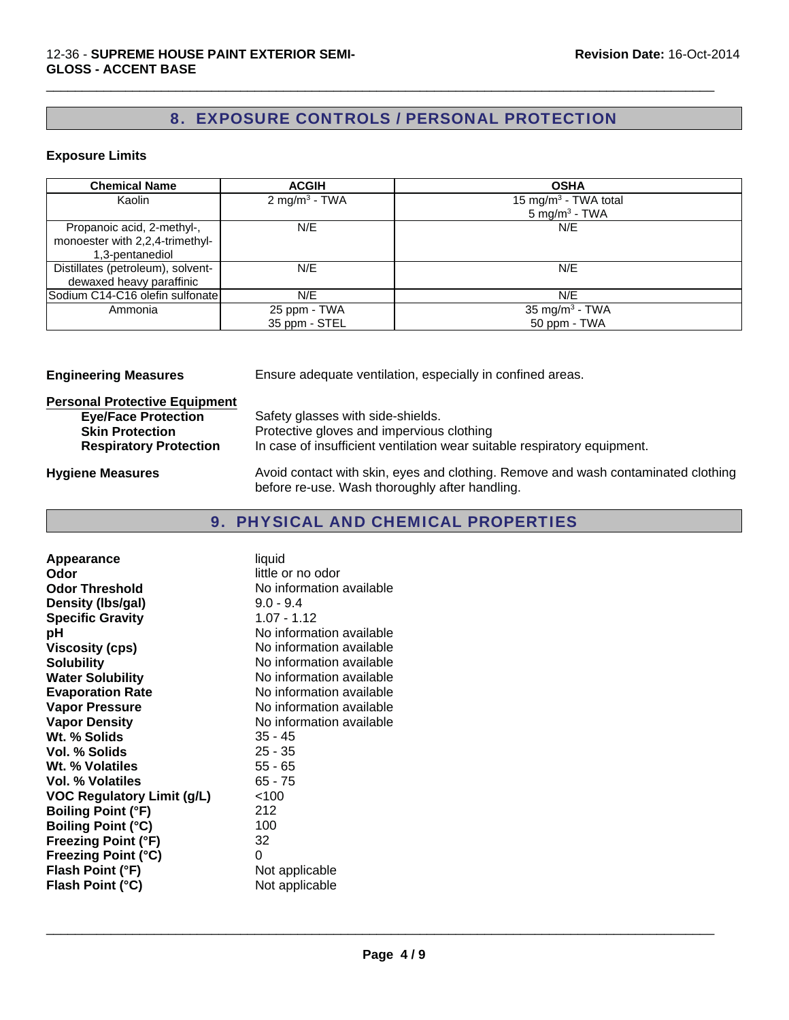# 8. EXPOSURE CONTROLS / PERSONAL PROTECTION

 $\Box$ 

### **Exposure Limits**

| <b>Chemical Name</b>              | <b>ACGIH</b>              | <b>OSHA</b>                      |
|-----------------------------------|---------------------------|----------------------------------|
| Kaolin                            | 2 mg/m <sup>3</sup> - TWA | 15 mg/m <sup>3</sup> - TWA total |
|                                   |                           | 5 mg/m <sup>3</sup> - TWA        |
| Propanoic acid, 2-methyl-,        | N/E                       | N/E                              |
| monoester with 2,2,4-trimethyl-   |                           |                                  |
| 1,3-pentanediol                   |                           |                                  |
| Distillates (petroleum), solvent- | N/E                       | N/E                              |
| dewaxed heavy paraffinic          |                           |                                  |
| Sodium C14-C16 olefin sulfonate   | N/E                       | N/E                              |
| Ammonia                           | 25 ppm - TWA              | 35 mg/m <sup>3</sup> - TWA       |
|                                   | 35 ppm - STEL             | 50 ppm - TWA                     |

**Engineering Measures** Ensure adequate ventilation, especially in confined areas.

| <b>Personal Protective Equipment</b>                    |                                                                                                                                     |
|---------------------------------------------------------|-------------------------------------------------------------------------------------------------------------------------------------|
| <b>Eye/Face Protection</b>                              | Safety glasses with side-shields.<br>Protective gloves and impervious clothing                                                      |
| <b>Skin Protection</b><br><b>Respiratory Protection</b> | In case of insufficient ventilation wear suitable respiratory equipment.                                                            |
| <b>Hygiene Measures</b>                                 | Avoid contact with skin, eyes and clothing. Remove and wash contaminated clothing<br>before re-use. Wash thoroughly after handling. |

# 9. PHYSICAL AND CHEMICAL PROPERTIES

| Appearance                        | liquid                   |
|-----------------------------------|--------------------------|
| Odor                              | little or no odor        |
| <b>Odor Threshold</b>             | No information available |
| Density (Ibs/gal)                 | $9.0 - 9.4$              |
| <b>Specific Gravity</b>           | $1.07 - 1.12$            |
| рH                                | No information available |
| <b>Viscosity (cps)</b>            | No information available |
| <b>Solubility</b>                 | No information available |
| <b>Water Solubility</b>           | No information available |
| <b>Evaporation Rate</b>           | No information available |
| <b>Vapor Pressure</b>             | No information available |
| <b>Vapor Density</b>              | No information available |
| Wt. % Solids                      | $35 - 45$                |
| Vol. % Solids                     | $25 - 35$                |
| Wt. % Volatiles                   | $55 - 65$                |
| Vol. % Volatiles                  | $65 - 75$                |
| <b>VOC Regulatory Limit (g/L)</b> | 100                      |
| <b>Boiling Point (°F)</b>         | 212                      |
| <b>Boiling Point (°C)</b>         | 100                      |
| <b>Freezing Point (°F)</b>        | 32                       |
| <b>Freezing Point (°C)</b>        | 0                        |
| Flash Point (°F)                  | Not applicable           |
| Flash Point (°C)                  | Not applicable           |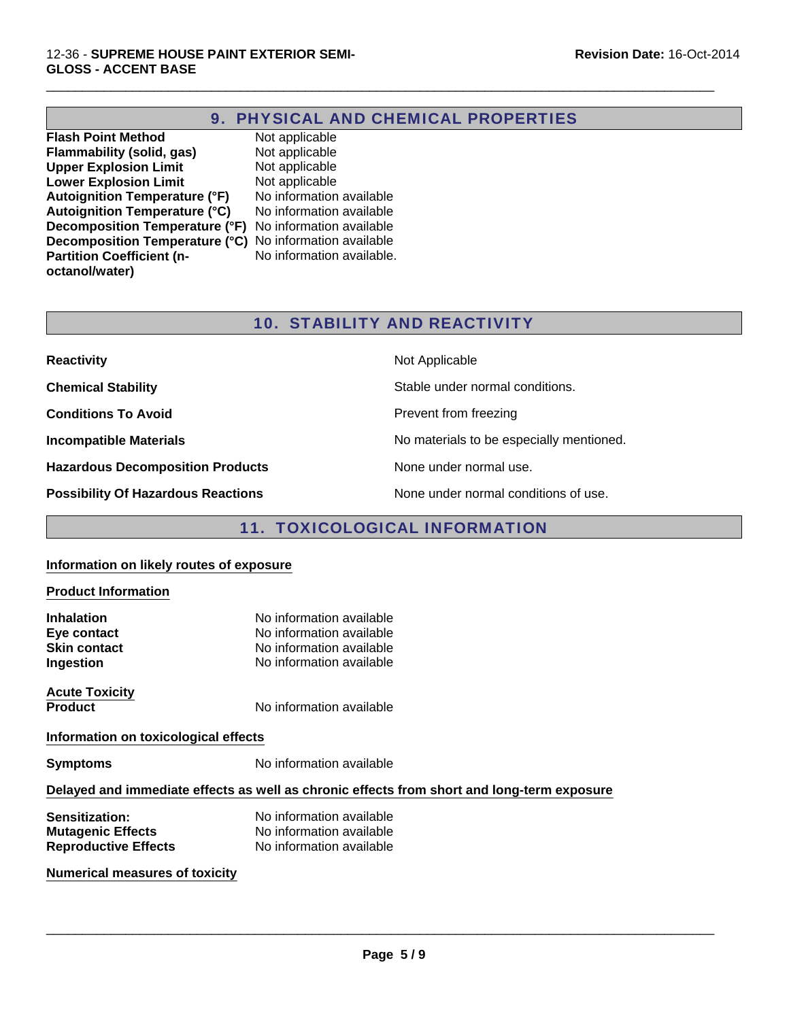# 9. PHYSICAL AND CHEMICAL PROPERTIES

 $\Box$ 

**Flash Point Method** Not applicable<br> **Flammability (solid, gas)** Not applicable **Flammability (solid, gas) Upper Explosion Limit** Not applicable<br> **Lower Explosion Limit** Not applicable **Lower Explosion Limit** Not applicable<br> **Autoignition Temperature (°F)** No information available **Autoignition Temperature (°F)** Autoignition Temperature (°C) No information available **Decomposition Temperature (°F)** No information available **Decomposition Temperature (°C)** No information available **Partition Coefficient (noctanol/water)**

No information available.

# 10. STABILITY AND REACTIVITY

| <b>Reactivity</b>                         | Not Applicable                           |
|-------------------------------------------|------------------------------------------|
| <b>Chemical Stability</b>                 | Stable under normal conditions.          |
| <b>Conditions To Avoid</b>                | Prevent from freezing                    |
| <b>Incompatible Materials</b>             | No materials to be especially mentioned. |
| <b>Hazardous Decomposition Products</b>   | None under normal use.                   |
| <b>Possibility Of Hazardous Reactions</b> | None under normal conditions of use.     |

# 11. TOXICOLOGICAL INFORMATION

#### **Information on likely routes of exposure**

#### **Product Information**

| <b>Inhalation</b><br>Eye contact                                                           | No information available<br>No information available |  |  |
|--------------------------------------------------------------------------------------------|------------------------------------------------------|--|--|
| <b>Skin contact</b>                                                                        | No information available                             |  |  |
| Ingestion                                                                                  | No information available                             |  |  |
| <b>Acute Toxicity</b>                                                                      |                                                      |  |  |
| <b>Product</b>                                                                             | No information available                             |  |  |
| Information on toxicological effects                                                       |                                                      |  |  |
| <b>Symptoms</b>                                                                            | No information available                             |  |  |
| Delayed and immediate effects as well as chronic effects from short and long-term exposure |                                                      |  |  |
| <b>Sensitization:</b>                                                                      | No information available                             |  |  |
| <b>Mutagenic Effects</b>                                                                   | No information available                             |  |  |
| <b>Reproductive Effects</b>                                                                | No information available                             |  |  |
| <b>Numerical measures of toxicity</b>                                                      |                                                      |  |  |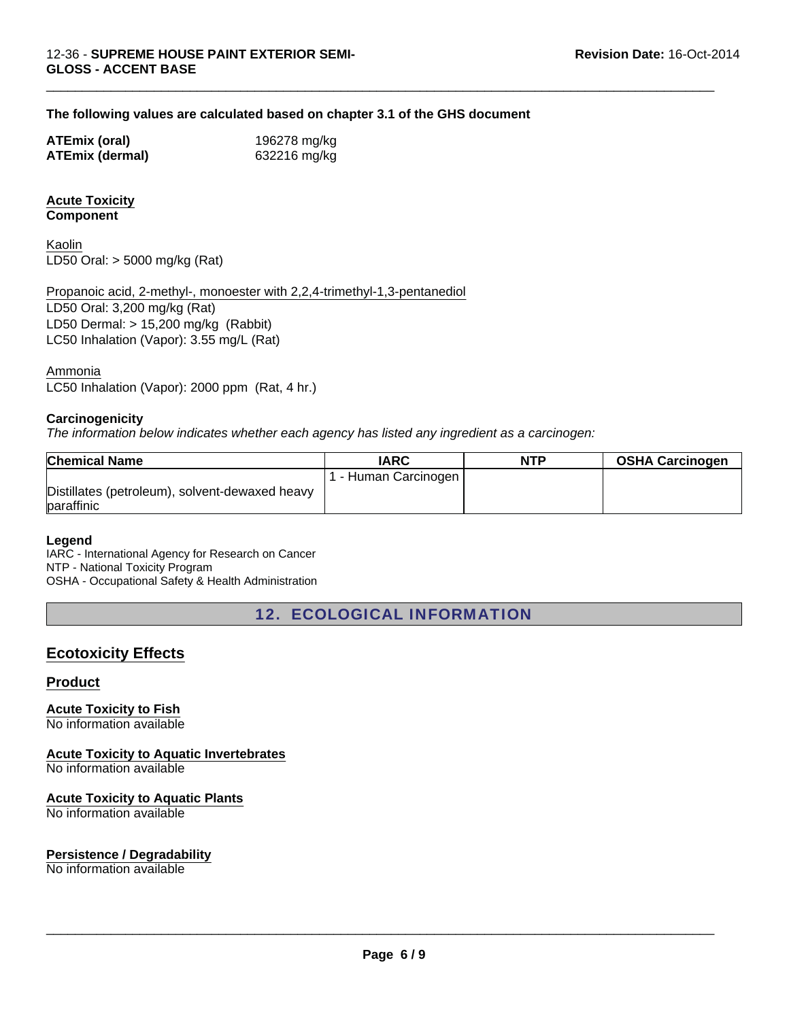#### **The following values are calculated based on chapter 3.1 of the GHS document**

| <b>ATEmix (oral)</b>   | 196278 mg/kg |
|------------------------|--------------|
| <b>ATEmix (dermal)</b> | 632216 mg/kg |

#### **Acute Toxicity Component**

Kaolin LD50 Oral: > 5000 mg/kg (Rat)

Propanoic acid, 2-methyl-, monoester with 2,2,4-trimethyl-1,3-pentanediol LD50 Oral: 3,200 mg/kg (Rat) LD50 Dermal: > 15,200 mg/kg (Rabbit) LC50 Inhalation (Vapor): 3.55 mg/L (Rat)

Ammonia

LC50 Inhalation (Vapor): 2000 ppm (Rat, 4 hr.)

#### **Carcinogenicity**

*The information below indicates whether each agency has listed any ingredient as a carcinogen:*

| <b>Chemical Name</b>                           | IARC               | NTP | <b>OSHA Carcinogen</b> |
|------------------------------------------------|--------------------|-----|------------------------|
|                                                | - Human Carcinogen |     |                        |
| Distillates (petroleum), solvent-dewaxed heavy |                    |     |                        |
| paraffinic                                     |                    |     |                        |

 $\Box$ 

#### **Legend**

IARC - International Agency for Research on Cancer NTP - National Toxicity Program OSHA - Occupational Safety & Health Administration

12. ECOLOGICAL INFORMATION

# **Ecotoxicity Effects**

#### **Product**

**Acute Toxicity to Fish** No information available

**Acute Toxicity to Aquatic Invertebrates**

No information available

#### **Acute Toxicity to Aquatic Plants**

No information available

#### **Persistence / Degradability**

No information available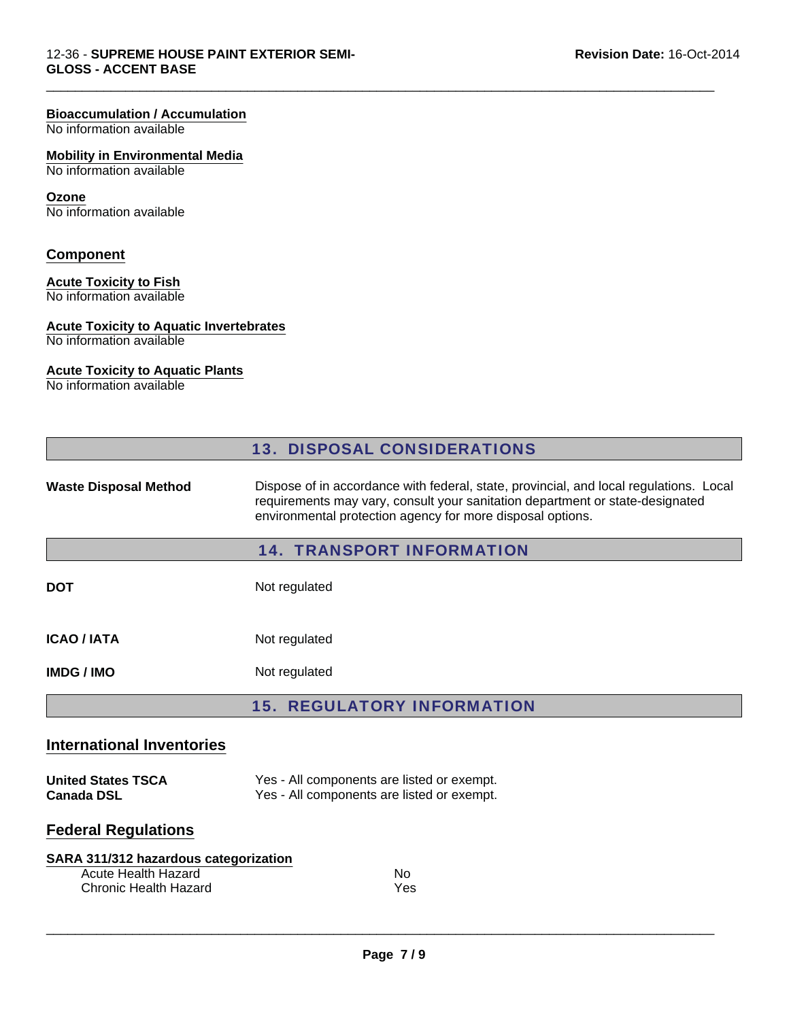## **Bioaccumulation / Accumulation**

No information available

#### **Mobility in Environmental Media**

No information available

#### **Ozone**

No information available

# **Component**

### **Acute Toxicity to Fish**

No information available

#### **Acute Toxicity to Aquatic Invertebrates**

No information available

### **Acute Toxicity to Aquatic Plants**

No information available

|                                                                                                     | <b>13. DISPOSAL CONSIDERATIONS</b>                                                                                                                                                                                                    |  |  |
|-----------------------------------------------------------------------------------------------------|---------------------------------------------------------------------------------------------------------------------------------------------------------------------------------------------------------------------------------------|--|--|
| <b>Waste Disposal Method</b>                                                                        | Dispose of in accordance with federal, state, provincial, and local regulations. Local<br>requirements may vary, consult your sanitation department or state-designated<br>environmental protection agency for more disposal options. |  |  |
|                                                                                                     | <b>14. TRANSPORT INFORMATION</b>                                                                                                                                                                                                      |  |  |
| <b>DOT</b>                                                                                          | Not regulated                                                                                                                                                                                                                         |  |  |
| <b>ICAO / IATA</b>                                                                                  | Not regulated                                                                                                                                                                                                                         |  |  |
| <b>IMDG/IMO</b>                                                                                     | Not regulated                                                                                                                                                                                                                         |  |  |
|                                                                                                     | <b>15. REGULATORY INFORMATION</b>                                                                                                                                                                                                     |  |  |
| <b>International Inventories</b>                                                                    |                                                                                                                                                                                                                                       |  |  |
| <b>United States TSCA</b><br><b>Canada DSL</b>                                                      | Yes - All components are listed or exempt.<br>Yes - All components are listed or exempt.                                                                                                                                              |  |  |
| <b>Federal Regulations</b>                                                                          |                                                                                                                                                                                                                                       |  |  |
| SARA 311/312 hazardous categorization<br><b>Acute Health Hazard</b><br><b>Chronic Health Hazard</b> | No.<br>Yes                                                                                                                                                                                                                            |  |  |

 $\Box$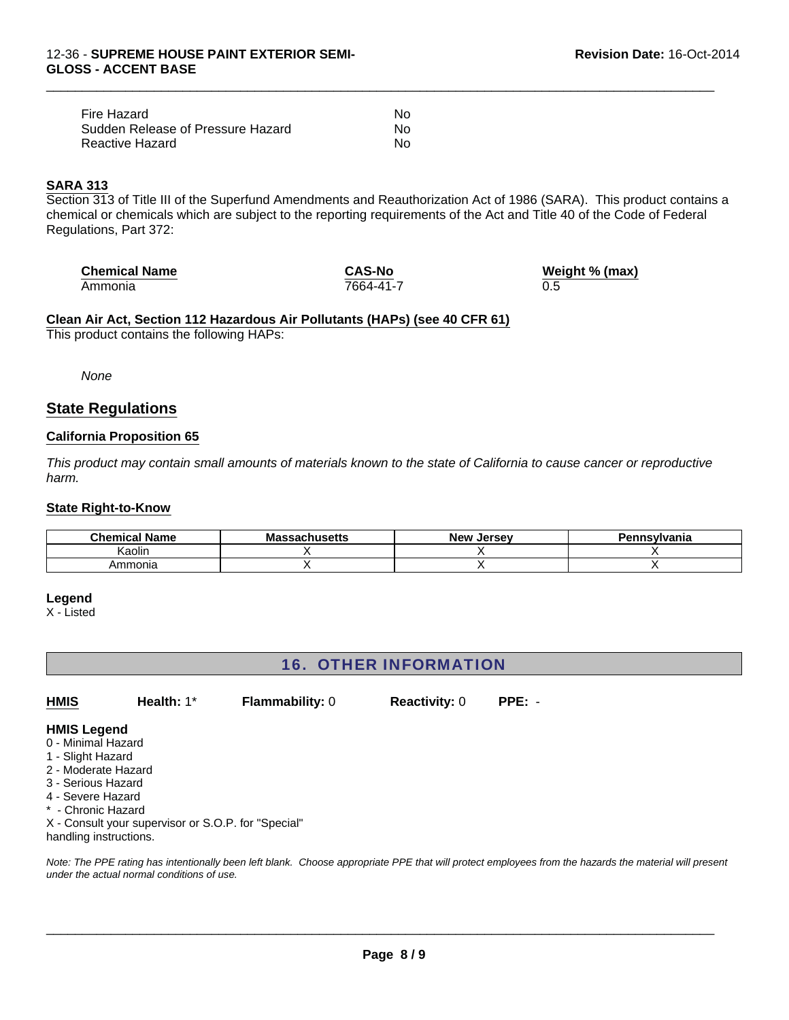| Fire Hazard                       | N٥ |
|-----------------------------------|----|
| Sudden Release of Pressure Hazard | No |
| Reactive Hazard                   | N٥ |

#### **SARA 313**

Section 313 of Title III of the Superfund Amendments and Reauthorization Act of 1986 (SARA). This product contains a chemical or chemicals which are subject to the reporting requirements of the Act and Title 40 of the Code of Federal Regulations, Part 372:

 $\Box$ 

| <b>Chemical Name</b> | <b>CAS-No</b> | Weight % (max) |
|----------------------|---------------|----------------|
| Ammonia              | 7664-41-7     | 0.5            |

# **Clean Air Act, Section 112 Hazardous Air Pollutants (HAPs) (see 40 CFR 61)**

This product contains the following HAPs:

*None*

# **State Regulations**

#### **California Proposition 65**

*This product may contain small amounts of materials known to the state of California to cause cancer or reproductive harm.*

#### **State Right-to-Know**

| <b>Chemical Name</b> | Бень | <b>New</b><br>. Jersev | `nsvlvania |
|----------------------|------|------------------------|------------|
| Kaolin               |      |                        |            |
| Ammonia              |      |                        |            |

#### **Legend**

X - Listed

# 16. OTHER INFORMATION

**Health:** 1\* **Flammability:** 0 **Reactivity:** 0 **PPE:** - **HMIS**

#### **HMIS Legend**

- 0 Minimal Hazard
- 1 Slight Hazard
- 2 Moderate Hazard
- 3 Serious Hazard
- 4 Severe Hazard
- \* Chronic Hazard

X - Consult your supervisor or S.O.P. for "Special" handling instructions.

*Note: The PPE rating has intentionally been left blank. Choose appropriate PPE that will protect employees from the hazards the material will present under the actual normal conditions of use.*